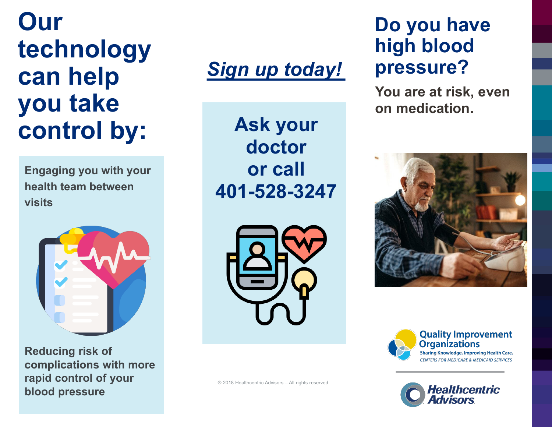## **Our technology can help you take control by:**

**Engaging you with your health team between visits**



**Reducing risk of complications with more rapid control of your blood pressure**

## *Sign up today!*

**Ask your doctor or call 401-528-3247**



® 2018 Healthcentric Advisors – All rights reserved

## **Do you have high blood pressure?**

**You are at risk, even on medication.**